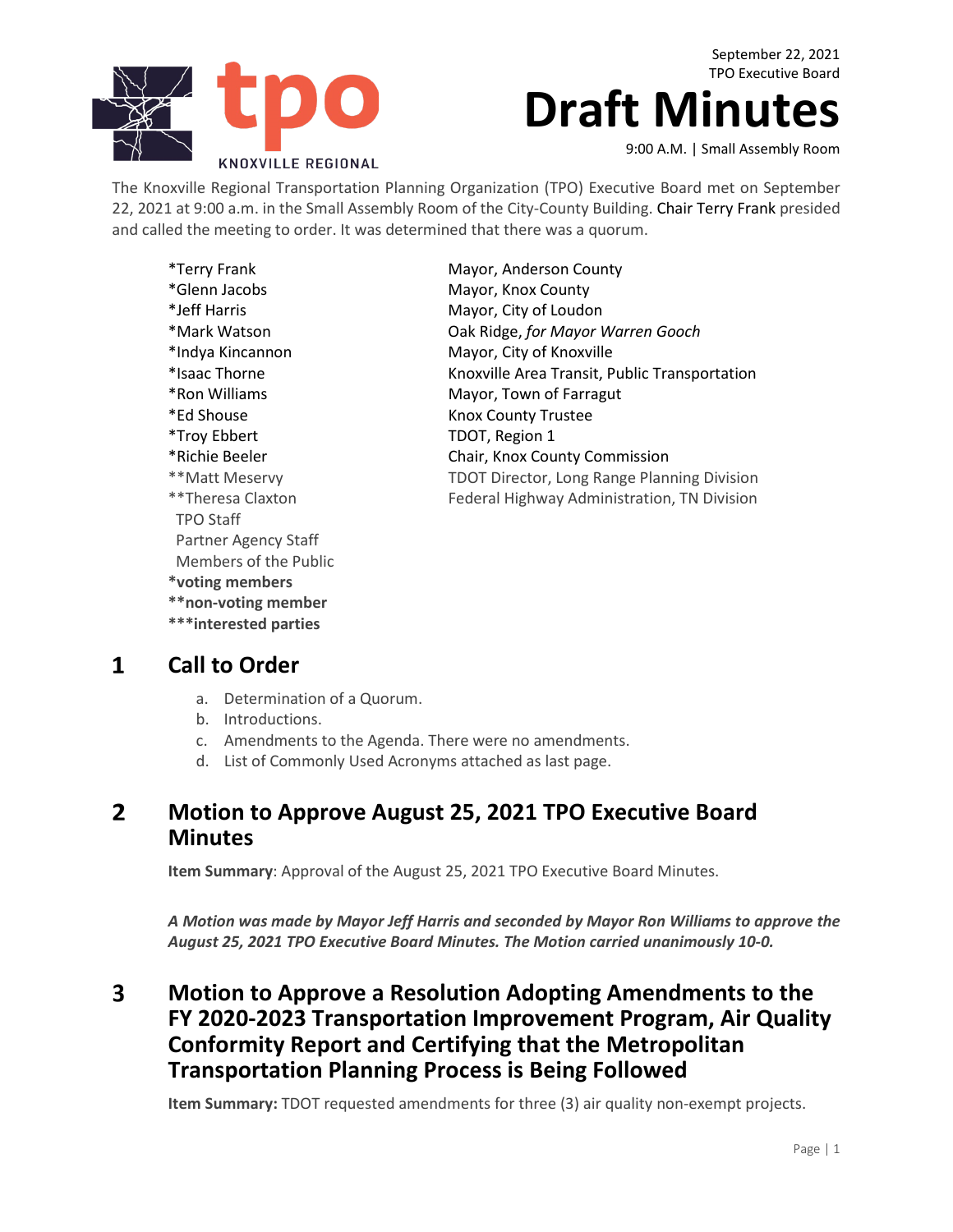

September 22, 2021 TPO Executive Board

# **Draft Minutes**

9:00 A.M. | Small Assembly Room

The Knoxville Regional Transportation Planning Organization (TPO) Executive Board met on September 22, 2021 at 9:00 a.m. in the Small Assembly Room of the City-County Building. Chair Terry Frank presided and called the meeting to order. It was determined that there was a quorum.

| <i>*</i> Terry Frank  | Mayor, Anderson County                             |
|-----------------------|----------------------------------------------------|
| *Glenn Jacobs         | Mayor, Knox County                                 |
| *Jeff Harris          | Mayor, City of Loudon                              |
| *Mark Watson          | Oak Ridge, for Mayor Warren Gooch                  |
| *Indya Kincannon      | Mayor, City of Knoxville                           |
| *Isaac Thorne         | Knoxville Area Transit, Public Transportation      |
| *Ron Williams         | Mayor, Town of Farragut                            |
| *Ed Shouse            | <b>Knox County Trustee</b>                         |
| *Troy Ebbert          | TDOT, Region 1                                     |
| *Richie Beeler        | Chair, Knox County Commission                      |
| **Matt Meservy        | <b>TDOT Director, Long Range Planning Division</b> |
| **Theresa Claxton     | Federal Highway Administration, TN Division        |
| <b>TPO Staff</b>      |                                                    |
| Partner Agency Staff  |                                                    |
| Members of the Public |                                                    |
| *voting members       |                                                    |
| **non-voting member   |                                                    |

#### $\mathbf{1}$ **Call to Order**

- a. Determination of a Quorum.
- b. Introductions.

**\*\*\*interested parties**

- c. Amendments to the Agenda. There were no amendments.
- d. List of Commonly Used Acronyms attached as last page.

### $2<sup>1</sup>$ **Motion to Approve August 25, 2021 TPO Executive Board Minutes**

**Item Summary**: Approval of the August 25, 2021 TPO Executive Board Minutes.

*A Motion was made by Mayor Jeff Harris and seconded by Mayor Ron Williams to approve the August 25, 2021 TPO Executive Board Minutes. The Motion carried unanimously 10-0.*

### $\overline{\mathbf{3}}$ **Motion to Approve a Resolution Adopting Amendments to the FY 2020-2023 Transportation Improvement Program, Air Quality Conformity Report and Certifying that the Metropolitan Transportation Planning Process is Being Followed**

**Item Summary:** TDOT requested amendments for three (3) air quality non-exempt projects.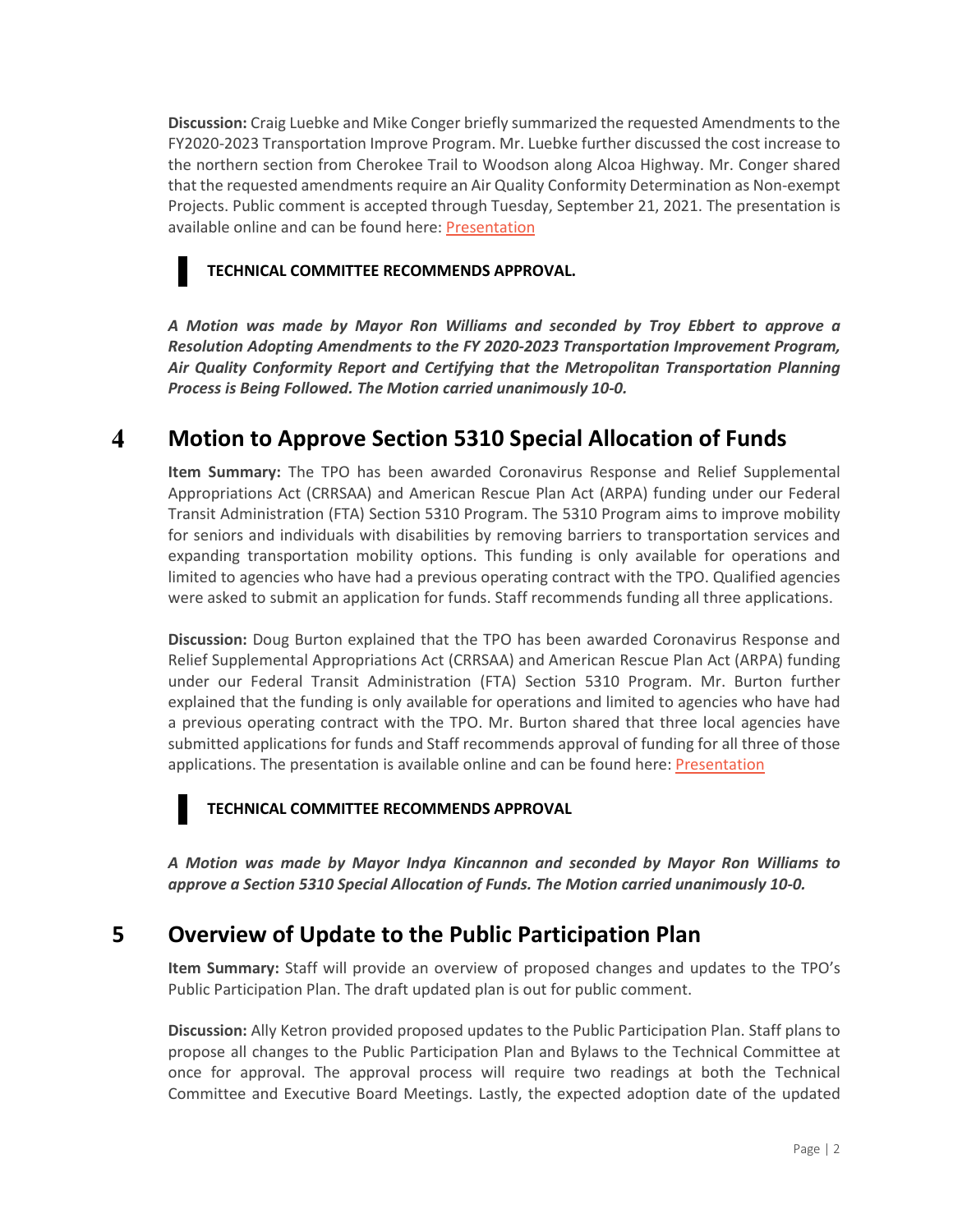**Discussion:** Craig Luebke and Mike Conger briefly summarized the requested Amendments to the FY2020-2023 Transportation Improve Program. Mr. Luebke further discussed the cost increase to the northern section from Cherokee Trail to Woodson along Alcoa Highway. Mr. Conger shared that the requested amendments require an Air Quality Conformity Determination as Non-exempt Projects. Public comment is accepted through Tuesday, September 21, 2021. The presentation is available online and can be found here[: Presentation](https://knoxtpo.org/home/meetings/exec/agendas/2021/september/presentations/3.pdf)

### **TECHNICAL COMMITTEE RECOMMENDS APPROVAL.**

*A Motion was made by Mayor Ron Williams and seconded by Troy Ebbert to approve a Resolution Adopting Amendments to the FY 2020-2023 Transportation Improvement Program, Air Quality Conformity Report and Certifying that the Metropolitan Transportation Planning Process is Being Followed. The Motion carried unanimously 10-0.*

### $\overline{\mathbf{4}}$ **Motion to Approve Section 5310 Special Allocation of Funds**

**Item Summary:** The TPO has been awarded Coronavirus Response and Relief Supplemental Appropriations Act (CRRSAA) and American Rescue Plan Act (ARPA) funding under our Federal Transit Administration (FTA) Section 5310 Program. The 5310 Program aims to improve mobility for seniors and individuals with disabilities by removing barriers to transportation services and expanding transportation mobility options. This funding is only available for operations and limited to agencies who have had a previous operating contract with the TPO. Qualified agencies were asked to submit an application for funds. Staff recommends funding all three applications.

**Discussion:** Doug Burton explained that the TPO has been awarded Coronavirus Response and Relief Supplemental Appropriations Act (CRRSAA) and American Rescue Plan Act (ARPA) funding under our Federal Transit Administration (FTA) Section 5310 Program. Mr. Burton further explained that the funding is only available for operations and limited to agencies who have had a previous operating contract with the TPO. Mr. Burton shared that three local agencies have submitted applications for funds and Staff recommends approval of funding for all three of those applications. The presentation is available online and can be found here: [Presentation](https://knoxtpo.org/home/meetings/exec/agendas/2021/september/presentations/4.pdf)

### **TECHNICAL COMMITTEE RECOMMENDS APPROVAL**

*A Motion was made by Mayor Indya Kincannon and seconded by Mayor Ron Williams to approve a Section 5310 Special Allocation of Funds. The Motion carried unanimously 10-0.*

# **5 Overview of Update to the Public Participation Plan**

**Item Summary:** Staff will provide an overview of proposed changes and updates to the TPO's Public Participation Plan. The draft updated plan is out for public comment.

**Discussion:** Ally Ketron provided proposed updates to the Public Participation Plan. Staff plans to propose all changes to the Public Participation Plan and Bylaws to the Technical Committee at once for approval. The approval process will require two readings at both the Technical Committee and Executive Board Meetings. Lastly, the expected adoption date of the updated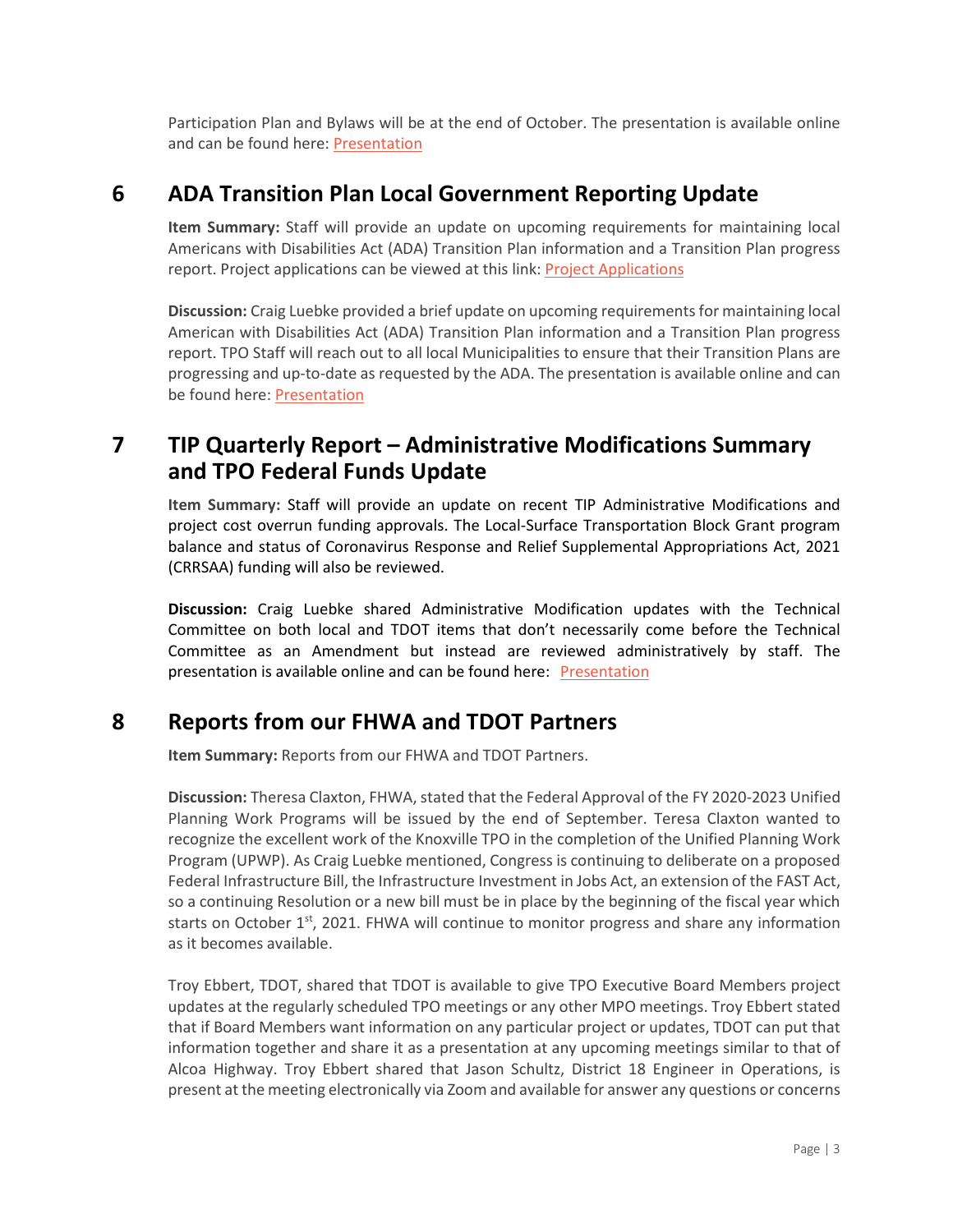Participation Plan and Bylaws will be at the end of October. The presentation is available online and can be found here: [Presentation](https://knoxtpo.org/home/meetings/exec/agendas/2021/september/presentations/5.pdf)

# **6 ADA Transition Plan Local Government Reporting Update**

**Item Summary:** Staff will provide an update on upcoming requirements for maintaining local Americans with Disabilities Act (ADA) Transition Plan information and a Transition Plan progress report. Project applications can be viewed at this link: [Project Applications](https://knoxtpo.org/home/meetings/exec/agendas/2021/june/applications.pdf)

**Discussion:** Craig Luebke provided a brief update on upcoming requirements for maintaining local American with Disabilities Act (ADA) Transition Plan information and a Transition Plan progress report. TPO Staff will reach out to all local Municipalities to ensure that their Transition Plans are progressing and up-to-date as requested by the ADA. The presentation is available online and can be found here[: Presentation](https://knoxtpo.org/home/meetings/exec/agendas/2021/september/presentations/6.pdf)

# **7 TIP Quarterly Report – Administrative Modifications Summary and TPO Federal Funds Update**

**Item Summary:** Staff will provide an update on recent TIP Administrative Modifications and project cost overrun funding approvals. The Local-Surface Transportation Block Grant program balance and status of Coronavirus Response and Relief Supplemental Appropriations Act, 2021 (CRRSAA) funding will also be reviewed.

**Discussion:** Craig Luebke shared Administrative Modification updates with the Technical Committee on both local and TDOT items that don't necessarily come before the Technical Committee as an Amendment but instead are reviewed administratively by staff. The presentation is available online and can be found here: [Presentation](https://knoxtpo.org/home/meetings/exec/agendas/2021/september/presentations/7.pdf)

### **8 Reports from our FHWA and TDOT Partners**

**Item Summary:** Reports from our FHWA and TDOT Partners.

**Discussion:** Theresa Claxton, FHWA, stated that the Federal Approval of the FY 2020-2023 Unified Planning Work Programs will be issued by the end of September. Teresa Claxton wanted to recognize the excellent work of the Knoxville TPO in the completion of the Unified Planning Work Program (UPWP). As Craig Luebke mentioned, Congress is continuing to deliberate on a proposed Federal Infrastructure Bill, the Infrastructure Investment in Jobs Act, an extension of the FAST Act, so a continuing Resolution or a new bill must be in place by the beginning of the fiscal year which starts on October  $1^{st}$ , 2021. FHWA will continue to monitor progress and share any information as it becomes available.

Troy Ebbert, TDOT, shared that TDOT is available to give TPO Executive Board Members project updates at the regularly scheduled TPO meetings or any other MPO meetings. Troy Ebbert stated that if Board Members want information on any particular project or updates, TDOT can put that information together and share it as a presentation at any upcoming meetings similar to that of Alcoa Highway. Troy Ebbert shared that Jason Schultz, District 18 Engineer in Operations, is present at the meeting electronically via Zoom and available for answer any questions or concerns